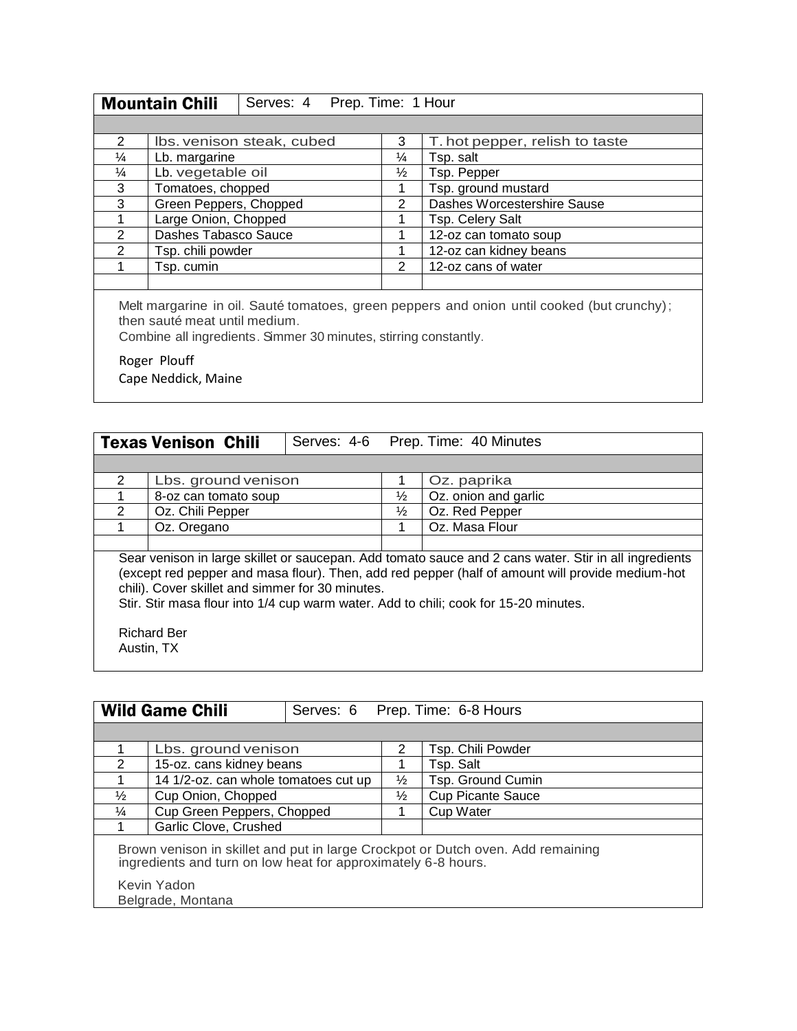|               | <b>Mountain Chili</b><br>Serves: 4 Prep. Time: 1 Hour |                           |               |                                |
|---------------|-------------------------------------------------------|---------------------------|---------------|--------------------------------|
|               |                                                       |                           |               |                                |
| $\mathcal{P}$ |                                                       | Ibs. venison steak, cubed | 3             | T. hot pepper, relish to taste |
| $\frac{1}{4}$ | Lb. margarine                                         |                           | $\frac{1}{4}$ | Tsp. salt                      |
| $\frac{1}{4}$ | Lb. vegetable oil                                     |                           | $\frac{1}{2}$ | Tsp. Pepper                    |
| 3             | Tomatoes, chopped                                     |                           |               | Tsp. ground mustard            |
| 3             | Green Peppers, Chopped                                |                           | 2             | Dashes Worcestershire Sause    |
|               | Large Onion, Chopped                                  |                           |               | Tsp. Celery Salt               |
| $\mathcal{P}$ | Dashes Tabasco Sauce                                  |                           |               | 12-oz can tomato soup          |
| $\mathcal{P}$ | Tsp. chili powder                                     |                           |               | 12-oz can kidney beans         |
|               | Tsp. cumin                                            |                           | 2             | 12-oz cans of water            |
|               |                                                       |                           |               |                                |

Melt margarine in oil. Sauté tomatoes, green peppers and onion until cooked (but crunchy); then sauté meat until medium.

Combine all ingredients. Simmer 30 minutes, stirring constantly.

Roger Plouff

Cape Neddick, Maine

|                                                                                                                                                                                                                                                                                                                                                       | <b>Texas Venison Chili</b>       |  |               | Serves: 4-6 Prep. Time: 40 Minutes |  |
|-------------------------------------------------------------------------------------------------------------------------------------------------------------------------------------------------------------------------------------------------------------------------------------------------------------------------------------------------------|----------------------------------|--|---------------|------------------------------------|--|
|                                                                                                                                                                                                                                                                                                                                                       |                                  |  |               |                                    |  |
| $\mathcal{P}$                                                                                                                                                                                                                                                                                                                                         | Lbs. ground venison              |  |               | Oz. paprika                        |  |
|                                                                                                                                                                                                                                                                                                                                                       | 8-oz can tomato soup             |  | $\frac{1}{2}$ | Oz. onion and garlic               |  |
| $\mathcal{P}$                                                                                                                                                                                                                                                                                                                                         | Oz. Chili Pepper                 |  | $\frac{1}{2}$ | Oz. Red Pepper                     |  |
|                                                                                                                                                                                                                                                                                                                                                       | Oz. Oregano                      |  | 1             | Oz. Masa Flour                     |  |
|                                                                                                                                                                                                                                                                                                                                                       |                                  |  |               |                                    |  |
| Sear venison in large skillet or saucepan. Add tomato sauce and 2 cans water. Stir in all ingredients<br>(except red pepper and masa flour). Then, add red pepper (half of amount will provide medium-hot<br>chili). Cover skillet and simmer for 30 minutes.<br>Stir. Stir masa flour into 1/4 cup warm water. Add to chili; cook for 15-20 minutes. |                                  |  |               |                                    |  |
|                                                                                                                                                                                                                                                                                                                                                       | <b>Richard Ber</b><br>Austin, TX |  |               |                                    |  |

| <b>Wild Game Chili</b>                                                                                                                           |                                      |  | Serves: 6 Prep. Time: 6-8 Hours |                          |  |  |
|--------------------------------------------------------------------------------------------------------------------------------------------------|--------------------------------------|--|---------------------------------|--------------------------|--|--|
|                                                                                                                                                  |                                      |  |                                 |                          |  |  |
|                                                                                                                                                  | Lbs. ground venison                  |  | 2                               | Tsp. Chili Powder        |  |  |
| 2                                                                                                                                                | 15-oz. cans kidney beans             |  |                                 | Tsp. Salt                |  |  |
| 1                                                                                                                                                | 14 1/2-oz. can whole tomatoes cut up |  | $\frac{1}{2}$                   | Tsp. Ground Cumin        |  |  |
| $\frac{1}{2}$                                                                                                                                    | Cup Onion, Chopped                   |  | $\frac{1}{2}$                   | <b>Cup Picante Sauce</b> |  |  |
| $\frac{1}{4}$                                                                                                                                    | Cup Green Peppers, Chopped           |  |                                 | <b>Cup Water</b>         |  |  |
|                                                                                                                                                  | Garlic Clove, Crushed                |  |                                 |                          |  |  |
| Brown venison in skillet and put in large Crockpot or Dutch oven. Add remaining<br>ingredients and turn on low heat for approximately 6-8 hours. |                                      |  |                                 |                          |  |  |
|                                                                                                                                                  | Kevin Yadon<br>Belgrade, Montana     |  |                                 |                          |  |  |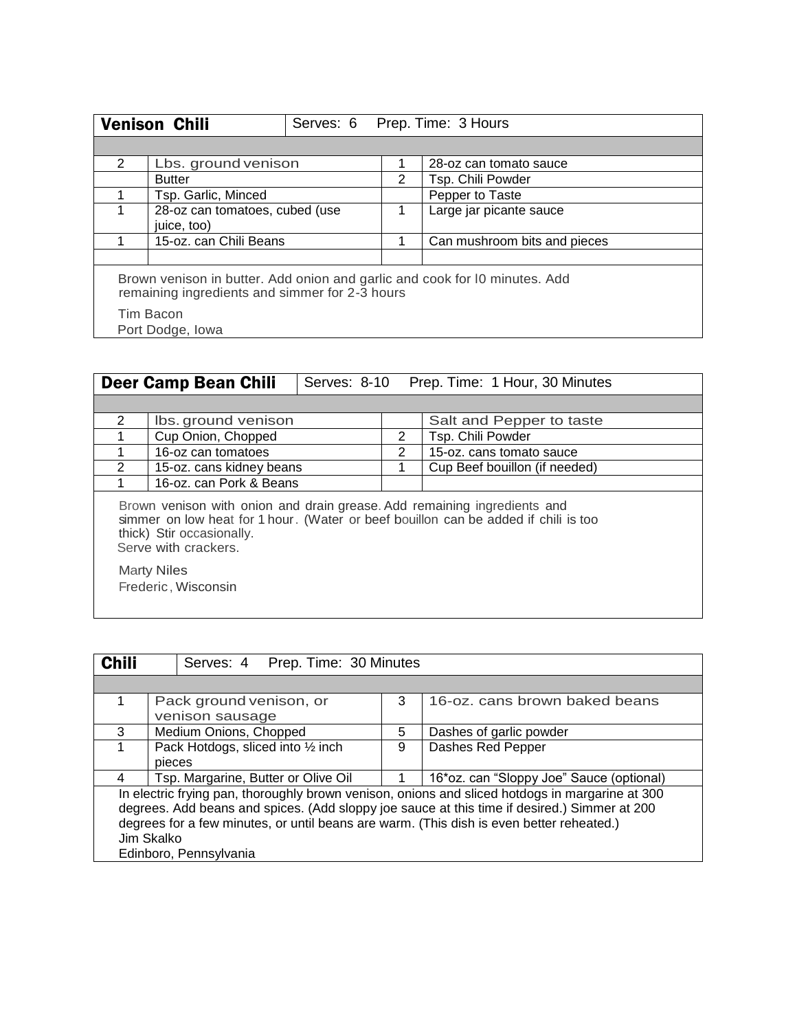|                                                                                                                              | <b>Venison Chili</b>                          |  |   | Serves: 6 Prep. Time: 3 Hours |  |  |
|------------------------------------------------------------------------------------------------------------------------------|-----------------------------------------------|--|---|-------------------------------|--|--|
|                                                                                                                              |                                               |  |   |                               |  |  |
| 2                                                                                                                            | Lbs. ground venison                           |  |   | 28-oz can tomato sauce        |  |  |
|                                                                                                                              | <b>Butter</b>                                 |  | 2 | Tsp. Chili Powder             |  |  |
|                                                                                                                              | Tsp. Garlic, Minced                           |  |   | Pepper to Taste               |  |  |
|                                                                                                                              | 28-oz can tomatoes, cubed (use<br>juice, too) |  |   | Large jar picante sauce       |  |  |
|                                                                                                                              | 15-oz. can Chili Beans                        |  |   | Can mushroom bits and pieces  |  |  |
|                                                                                                                              |                                               |  |   |                               |  |  |
| Brown venison in butter. Add onion and garlic and cook for IO minutes. Add<br>remaining ingredients and simmer for 2-3 hours |                                               |  |   |                               |  |  |
|                                                                                                                              | Tim Bacon                                     |  |   |                               |  |  |
|                                                                                                                              | Port Dodge, Iowa                              |  |   |                               |  |  |

| Prep. Time: 1 Hour, 30 Minutes<br>Serves: 8-10<br><b>Deer Camp Bean Chili</b>                                                                                                                                                                                     |                          |  |   |                               |  |  |
|-------------------------------------------------------------------------------------------------------------------------------------------------------------------------------------------------------------------------------------------------------------------|--------------------------|--|---|-------------------------------|--|--|
|                                                                                                                                                                                                                                                                   |                          |  |   |                               |  |  |
| 2                                                                                                                                                                                                                                                                 | Ibs. ground venison      |  |   | Salt and Pepper to taste      |  |  |
|                                                                                                                                                                                                                                                                   | Cup Onion, Chopped       |  | 2 | Tsp. Chili Powder             |  |  |
|                                                                                                                                                                                                                                                                   | 16-oz can tomatoes       |  | 2 | 15-oz. cans tomato sauce      |  |  |
| $\mathcal{P}$                                                                                                                                                                                                                                                     | 15-oz. cans kidney beans |  |   | Cup Beef bouillon (if needed) |  |  |
|                                                                                                                                                                                                                                                                   | 16-oz. can Pork & Beans  |  |   |                               |  |  |
| Brown venison with onion and drain grease. Add remaining ingredients and<br>simmer on low heat for 1 hour. (Water or beef bouillon can be added if chili is too<br>thick) Stir occasionally.<br>Serve with crackers.<br><b>Marty Niles</b><br>Frederic, Wisconsin |                          |  |   |                               |  |  |

| <b>Chili</b>                                                                                                                                                                                                                                                                                              | Serves: 4 Prep. Time: 30 Minutes    |                         |   |                                          |  |
|-----------------------------------------------------------------------------------------------------------------------------------------------------------------------------------------------------------------------------------------------------------------------------------------------------------|-------------------------------------|-------------------------|---|------------------------------------------|--|
|                                                                                                                                                                                                                                                                                                           |                                     |                         |   |                                          |  |
|                                                                                                                                                                                                                                                                                                           |                                     | Pack ground venison, or | 3 | 16-oz. cans brown baked beans            |  |
|                                                                                                                                                                                                                                                                                                           |                                     | venison sausage         |   |                                          |  |
| 3                                                                                                                                                                                                                                                                                                         | Medium Onions, Chopped              |                         | 5 | Dashes of garlic powder                  |  |
|                                                                                                                                                                                                                                                                                                           | Pack Hotdogs, sliced into 1/2 inch  |                         | 9 | Dashes Red Pepper                        |  |
|                                                                                                                                                                                                                                                                                                           | pieces                              |                         |   |                                          |  |
| 4                                                                                                                                                                                                                                                                                                         | Tsp. Margarine, Butter or Olive Oil |                         |   | 16*oz. can "Sloppy Joe" Sauce (optional) |  |
| In electric frying pan, thoroughly brown venison, onions and sliced hotdogs in margarine at 300<br>degrees. Add beans and spices. (Add sloppy joe sauce at this time if desired.) Simmer at 200<br>degrees for a few minutes, or until beans are warm. (This dish is even better reheated.)<br>Jim Skalko |                                     |                         |   |                                          |  |
|                                                                                                                                                                                                                                                                                                           |                                     | Edinboro, Pennsylvania  |   |                                          |  |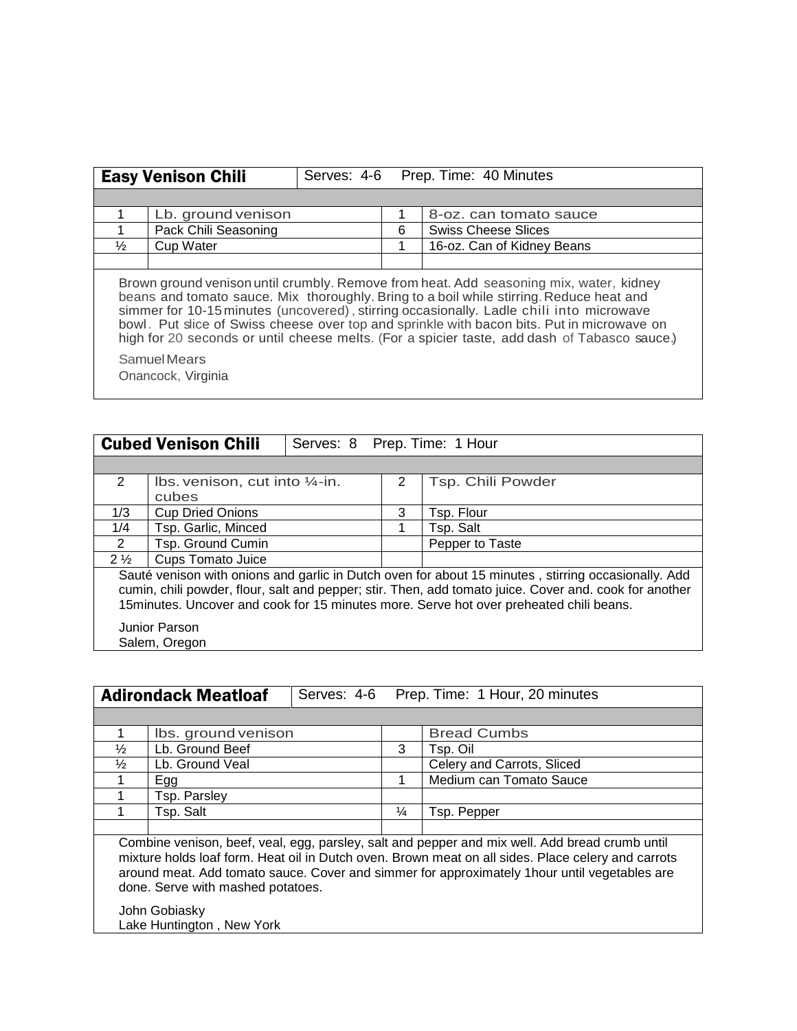| <b>Easy Venison Chili</b>                                                                                                                                                                                                                                                                                                                                                                                                                                                  |                                    | Serves: 4-6 | Prep. Time: 40 Minutes |                            |  |  |  |
|----------------------------------------------------------------------------------------------------------------------------------------------------------------------------------------------------------------------------------------------------------------------------------------------------------------------------------------------------------------------------------------------------------------------------------------------------------------------------|------------------------------------|-------------|------------------------|----------------------------|--|--|--|
|                                                                                                                                                                                                                                                                                                                                                                                                                                                                            |                                    |             |                        |                            |  |  |  |
|                                                                                                                                                                                                                                                                                                                                                                                                                                                                            | Lb. ground venison                 |             |                        | 8-oz. can tomato sauce     |  |  |  |
|                                                                                                                                                                                                                                                                                                                                                                                                                                                                            | Pack Chili Seasoning               |             | 6                      | <b>Swiss Cheese Slices</b> |  |  |  |
| $\frac{1}{2}$                                                                                                                                                                                                                                                                                                                                                                                                                                                              | <b>Cup Water</b>                   |             |                        | 16-oz. Can of Kidney Beans |  |  |  |
|                                                                                                                                                                                                                                                                                                                                                                                                                                                                            |                                    |             |                        |                            |  |  |  |
| Brown ground venison until crumbly. Remove from heat. Add seasoning mix, water, kidney<br>beans and tomato sauce. Mix thoroughly. Bring to a boil while stirring. Reduce heat and<br>simmer for 10-15 minutes (uncovered), stirring occasionally. Ladle chili into microwave<br>bowl. Put slice of Swiss cheese over top and sprinkle with bacon bits. Put in microwave on<br>high for 20 seconds or until cheese melts. (For a spicier taste, add dash of Tabasco sauce.) |                                    |             |                        |                            |  |  |  |
|                                                                                                                                                                                                                                                                                                                                                                                                                                                                            | Samuel Mears<br>Onancock, Virginia |             |                        |                            |  |  |  |

|                                                                                         | <b>Cubed Venison Chili</b><br>Serves: 8 Prep. Time: 1 Hour                                             |  |   |                   |  |  |
|-----------------------------------------------------------------------------------------|--------------------------------------------------------------------------------------------------------|--|---|-------------------|--|--|
|                                                                                         |                                                                                                        |  |   |                   |  |  |
| $\mathcal{P}$                                                                           | Ibs. venison, cut into 1/4-in.                                                                         |  | 2 | Tsp. Chili Powder |  |  |
|                                                                                         | cubes                                                                                                  |  |   |                   |  |  |
| 1/3                                                                                     | <b>Cup Dried Onions</b>                                                                                |  | 3 | Tsp. Flour        |  |  |
| 1/4                                                                                     | Tsp. Garlic, Minced                                                                                    |  |   | Tsp. Salt         |  |  |
| 2                                                                                       | Tsp. Ground Cumin                                                                                      |  |   | Pepper to Taste   |  |  |
| $2\frac{1}{2}$                                                                          | <b>Cups Tomato Juice</b>                                                                               |  |   |                   |  |  |
|                                                                                         | Sauté venison with onions and garlic in Dutch oven for about 15 minutes, stirring occasionally. Add    |  |   |                   |  |  |
|                                                                                         | cumin, chili powder, flour, salt and pepper; stir. Then, add tomato juice. Cover and. cook for another |  |   |                   |  |  |
| 15 minutes. Uncover and cook for 15 minutes more. Serve hot over preheated chili beans. |                                                                                                        |  |   |                   |  |  |
| <b>Junior Parson</b>                                                                    |                                                                                                        |  |   |                   |  |  |
|                                                                                         | Salem, Oregon                                                                                          |  |   |                   |  |  |
|                                                                                         |                                                                                                        |  |   |                   |  |  |

| <b>Adirondack Meatloaf</b>                                                                                                                                                                                                                                                                                                                                  |                           |  |               | Serves: 4-6 Prep. Time: 1 Hour, 20 minutes |  |
|-------------------------------------------------------------------------------------------------------------------------------------------------------------------------------------------------------------------------------------------------------------------------------------------------------------------------------------------------------------|---------------------------|--|---------------|--------------------------------------------|--|
|                                                                                                                                                                                                                                                                                                                                                             |                           |  |               |                                            |  |
|                                                                                                                                                                                                                                                                                                                                                             | Ibs. ground venison       |  |               | <b>Bread Cumbs</b>                         |  |
| $\frac{1}{2}$                                                                                                                                                                                                                                                                                                                                               | Lb. Ground Beef           |  | 3             | Tsp. Oil                                   |  |
| $\frac{1}{2}$                                                                                                                                                                                                                                                                                                                                               | Lb. Ground Veal           |  |               | Celery and Carrots, Sliced                 |  |
|                                                                                                                                                                                                                                                                                                                                                             | Egg                       |  |               | Medium can Tomato Sauce                    |  |
|                                                                                                                                                                                                                                                                                                                                                             | Tsp. Parsley              |  |               |                                            |  |
|                                                                                                                                                                                                                                                                                                                                                             | Tsp. Salt                 |  | $\frac{1}{4}$ | Tsp. Pepper                                |  |
|                                                                                                                                                                                                                                                                                                                                                             |                           |  |               |                                            |  |
| Combine venison, beef, veal, egg, parsley, salt and pepper and mix well. Add bread crumb until<br>mixture holds loaf form. Heat oil in Dutch oven. Brown meat on all sides. Place celery and carrots<br>around meat. Add tomato sauce. Cover and simmer for approximately 1 hour until vegetables are<br>done. Serve with mashed potatoes.<br>John Gobiasky |                           |  |               |                                            |  |
|                                                                                                                                                                                                                                                                                                                                                             | Lake Huntington, New York |  |               |                                            |  |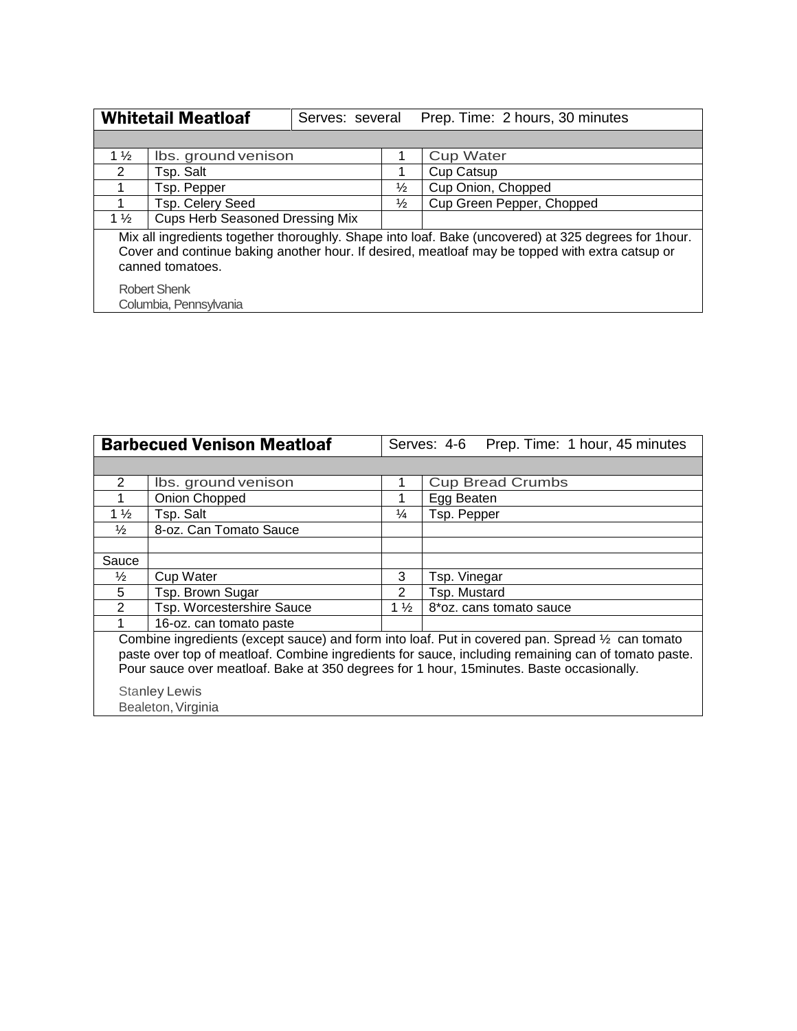| <b>Whitetail Meatloaf</b><br>Serves: several                                                                                                                                                                                |                                        |  | Prep. Time: 2 hours, 30 minutes |                           |  |  |  |
|-----------------------------------------------------------------------------------------------------------------------------------------------------------------------------------------------------------------------------|----------------------------------------|--|---------------------------------|---------------------------|--|--|--|
|                                                                                                                                                                                                                             |                                        |  |                                 |                           |  |  |  |
| $1\frac{1}{2}$                                                                                                                                                                                                              | Ibs. ground venison                    |  |                                 | <b>Cup Water</b>          |  |  |  |
| 2                                                                                                                                                                                                                           | Tsp. Salt                              |  |                                 | Cup Catsup                |  |  |  |
|                                                                                                                                                                                                                             | Tsp. Pepper                            |  | $\frac{1}{2}$                   | Cup Onion, Chopped        |  |  |  |
|                                                                                                                                                                                                                             | Tsp. Celery Seed                       |  | $\frac{1}{2}$                   | Cup Green Pepper, Chopped |  |  |  |
| $1\frac{1}{2}$                                                                                                                                                                                                              | <b>Cups Herb Seasoned Dressing Mix</b> |  |                                 |                           |  |  |  |
| Mix all ingredients together thoroughly. Shape into loaf. Bake (uncovered) at 325 degrees for 1hour.<br>Cover and continue baking another hour. If desired, meatloaf may be topped with extra catsup or<br>canned tomatoes. |                                        |  |                                 |                           |  |  |  |
|                                                                                                                                                                                                                             | <b>Robert Shenk</b>                    |  |                                 |                           |  |  |  |
|                                                                                                                                                                                                                             | Columbia, Pennsylvania                 |  |                                 |                           |  |  |  |

|                                                                                                                                                                                                                                                                                                      | <b>Barbecued Venison Meatloaf</b>          |                | Serves: 4-6 Prep. Time: 1 hour, 45 minutes |  |  |  |
|------------------------------------------------------------------------------------------------------------------------------------------------------------------------------------------------------------------------------------------------------------------------------------------------------|--------------------------------------------|----------------|--------------------------------------------|--|--|--|
|                                                                                                                                                                                                                                                                                                      |                                            |                |                                            |  |  |  |
| 2                                                                                                                                                                                                                                                                                                    | Ibs. ground venison                        |                | <b>Cup Bread Crumbs</b>                    |  |  |  |
|                                                                                                                                                                                                                                                                                                      | Onion Chopped                              |                | Egg Beaten                                 |  |  |  |
| $1\frac{1}{2}$                                                                                                                                                                                                                                                                                       | Tsp. Salt                                  | ¼              | Tsp. Pepper                                |  |  |  |
| $\frac{1}{2}$                                                                                                                                                                                                                                                                                        | 8-oz. Can Tomato Sauce                     |                |                                            |  |  |  |
|                                                                                                                                                                                                                                                                                                      |                                            |                |                                            |  |  |  |
| Sauce                                                                                                                                                                                                                                                                                                |                                            |                |                                            |  |  |  |
| $\frac{1}{2}$                                                                                                                                                                                                                                                                                        | Cup Water                                  | 3              | Tsp. Vinegar                               |  |  |  |
| 5                                                                                                                                                                                                                                                                                                    | Tsp. Brown Sugar                           | $\overline{2}$ | Tsp. Mustard                               |  |  |  |
| 2                                                                                                                                                                                                                                                                                                    | Tsp. Worcestershire Sauce                  | $1\frac{1}{2}$ | 8*oz. cans tomato sauce                    |  |  |  |
|                                                                                                                                                                                                                                                                                                      | 16-oz. can tomato paste                    |                |                                            |  |  |  |
| Combine ingredients (except sauce) and form into loaf. Put in covered pan. Spread 1/2 can tomato<br>paste over top of meatloaf. Combine ingredients for sauce, including remaining can of tomato paste.<br>Pour sauce over meatloaf. Bake at 350 degrees for 1 hour, 15 minutes. Baste occasionally. |                                            |                |                                            |  |  |  |
|                                                                                                                                                                                                                                                                                                      |                                            |                |                                            |  |  |  |
|                                                                                                                                                                                                                                                                                                      | <b>Stanley Lewis</b><br>Bealeton, Virginia |                |                                            |  |  |  |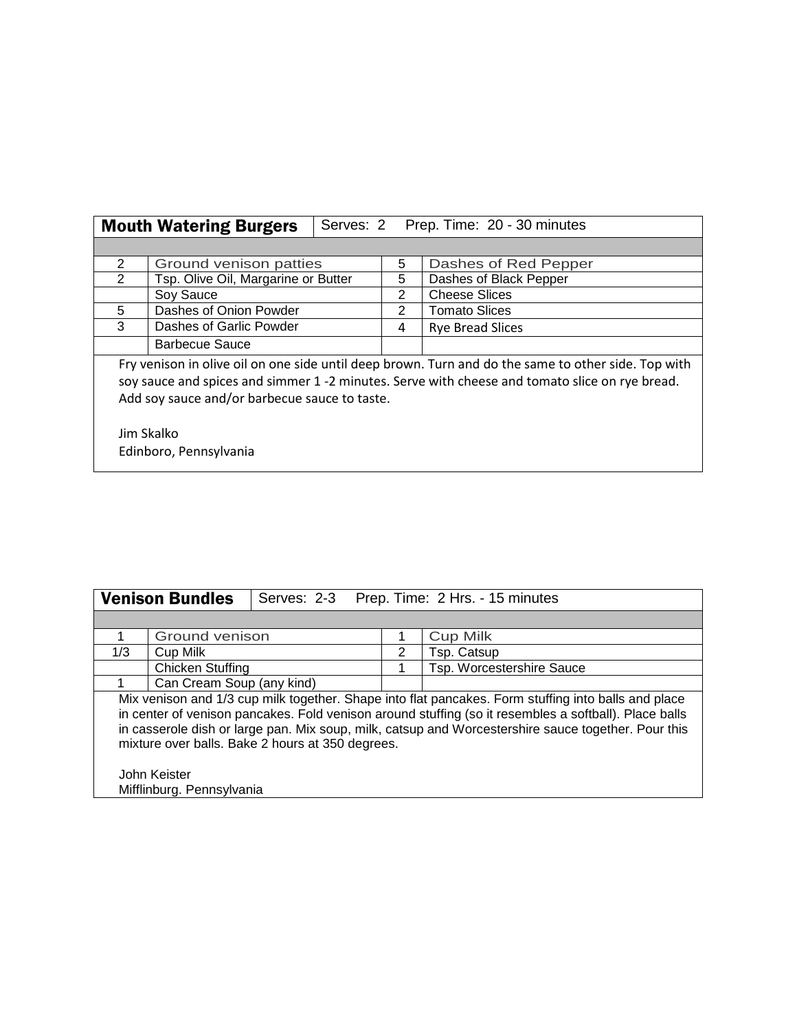|                                                                                                                                                                                                                                                        | <b>Mouth Watering Burgers</b>       |   | Serves: 2 Prep. Time: 20 - 30 minutes |  |  |  |
|--------------------------------------------------------------------------------------------------------------------------------------------------------------------------------------------------------------------------------------------------------|-------------------------------------|---|---------------------------------------|--|--|--|
|                                                                                                                                                                                                                                                        |                                     |   |                                       |  |  |  |
| 2                                                                                                                                                                                                                                                      | Ground venison patties              | 5 | Dashes of Red Pepper                  |  |  |  |
| 2                                                                                                                                                                                                                                                      | Tsp. Olive Oil, Margarine or Butter | 5 | Dashes of Black Pepper                |  |  |  |
|                                                                                                                                                                                                                                                        | Soy Sauce                           | 2 | <b>Cheese Slices</b>                  |  |  |  |
| 5                                                                                                                                                                                                                                                      | Dashes of Onion Powder              |   | <b>Tomato Slices</b>                  |  |  |  |
| 3                                                                                                                                                                                                                                                      | Dashes of Garlic Powder             |   | <b>Rye Bread Slices</b>               |  |  |  |
|                                                                                                                                                                                                                                                        | Barbecue Sauce                      |   |                                       |  |  |  |
| Fry venison in olive oil on one side until deep brown. Turn and do the same to other side. Top with<br>soy sauce and spices and simmer 1 -2 minutes. Serve with cheese and tomato slice on rye bread.<br>Add soy sauce and/or barbecue sauce to taste. |                                     |   |                                       |  |  |  |
| Jim Skalko<br>Edinboro, Pennsylvania                                                                                                                                                                                                                   |                                     |   |                                       |  |  |  |

| <b>Venison Bundles</b>                                                                                                                                                                                                                                                                                                                                                  |                                           | Serves: 2-3 Prep. Time: 2 Hrs. - 15 minutes |   |                           |  |  |  |  |  |
|-------------------------------------------------------------------------------------------------------------------------------------------------------------------------------------------------------------------------------------------------------------------------------------------------------------------------------------------------------------------------|-------------------------------------------|---------------------------------------------|---|---------------------------|--|--|--|--|--|
|                                                                                                                                                                                                                                                                                                                                                                         |                                           |                                             |   |                           |  |  |  |  |  |
|                                                                                                                                                                                                                                                                                                                                                                         | Ground venison                            |                                             |   | <b>Cup Milk</b>           |  |  |  |  |  |
| 1/3                                                                                                                                                                                                                                                                                                                                                                     | Cup Milk                                  |                                             | 2 | Tsp. Catsup               |  |  |  |  |  |
|                                                                                                                                                                                                                                                                                                                                                                         | <b>Chicken Stuffing</b>                   |                                             |   | Tsp. Worcestershire Sauce |  |  |  |  |  |
|                                                                                                                                                                                                                                                                                                                                                                         | Can Cream Soup (any kind)                 |                                             |   |                           |  |  |  |  |  |
| Mix venison and 1/3 cup milk together. Shape into flat pancakes. Form stuffing into balls and place<br>in center of venison pancakes. Fold venison around stuffing (so it resembles a softball). Place balls<br>in casserole dish or large pan. Mix soup, milk, catsup and Worcestershire sauce together. Pour this<br>mixture over balls. Bake 2 hours at 350 degrees. |                                           |                                             |   |                           |  |  |  |  |  |
|                                                                                                                                                                                                                                                                                                                                                                         | John Keister<br>Mifflinburg. Pennsylvania |                                             |   |                           |  |  |  |  |  |